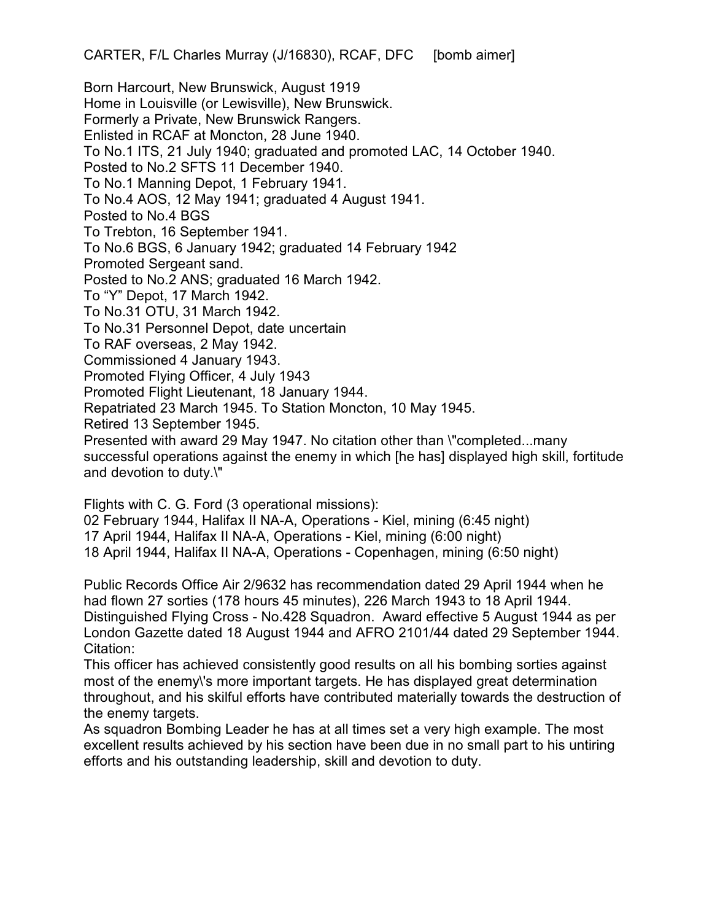Born Harcourt, New Brunswick, August 1919 Home in Louisville (or Lewisville), New Brunswick. Formerly a Private, New Brunswick Rangers. Enlisted in RCAF at Moncton, 28 June 1940. To No.1 ITS, 21 July 1940; graduated and promoted LAC, 14 October 1940. Posted to No.2 SFTS 11 December 1940. To No.1 Manning Depot, 1 February 1941. To No.4 AOS, 12 May 1941; graduated 4 August 1941. Posted to No.4 BGS To Trebton, 16 September 1941. To No.6 BGS, 6 January 1942; graduated 14 February 1942 Promoted Sergeant sand. Posted to No.2 ANS; graduated 16 March 1942. To "Y" Depot, 17 March 1942. To No.31 OTU, 31 March 1942. To No.31 Personnel Depot, date uncertain To RAF overseas, 2 May 1942. Commissioned 4 January 1943. Promoted Flying Officer, 4 July 1943 Promoted Flight Lieutenant, 18 January 1944. Repatriated 23 March 1945. To Station Moncton, 10 May 1945. Retired 13 September 1945. Presented with award 29 May 1947. No citation other than \"completed...many successful operations against the enemy in which [he has] displayed high skill, fortitude and devotion to duty.\"

Flights with C. G. Ford (3 operational missions): 02 February 1944, Halifax II NA-A, Operations - Kiel, mining (6:45 night) 17 April 1944, Halifax II NA-A, Operations - Kiel, mining (6:00 night) 18 April 1944, Halifax II NA-A, Operations - Copenhagen, mining (6:50 night)

Public Records Office Air 2/9632 has recommendation dated 29 April 1944 when he had flown 27 sorties (178 hours 45 minutes), 226 March 1943 to 18 April 1944. Distinguished Flying Cross - No.428 Squadron. Award effective 5 August 1944 as per London Gazette dated 18 August 1944 and AFRO 2101/44 dated 29 September 1944. Citation:

This officer has achieved consistently good results on all his bombing sorties against most of the enemy\'s more important targets. He has displayed great determination throughout, and his skilful efforts have contributed materially towards the destruction of the enemy targets.

As squadron Bombing Leader he has at all times set a very high example. The most excellent results achieved by his section have been due in no small part to his untiring efforts and his outstanding leadership, skill and devotion to duty.